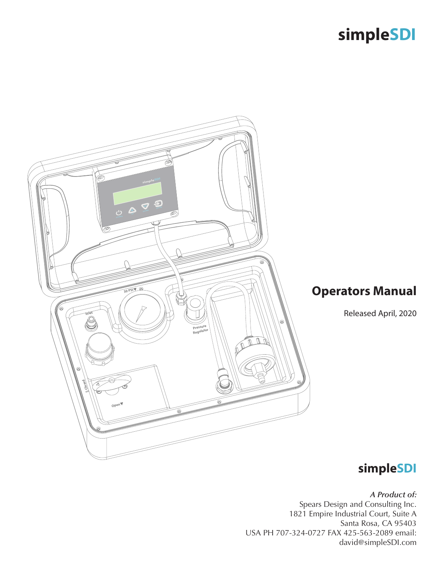

# **simpleSDI**

*A Product of:*  Spears Design and Consulting Inc. 1821 Empire Industrial Court, Suite A Santa Rosa, CA 95403 USA PH 707-324-0727 FAX 425-563-2089 email: david@simpleSDI.com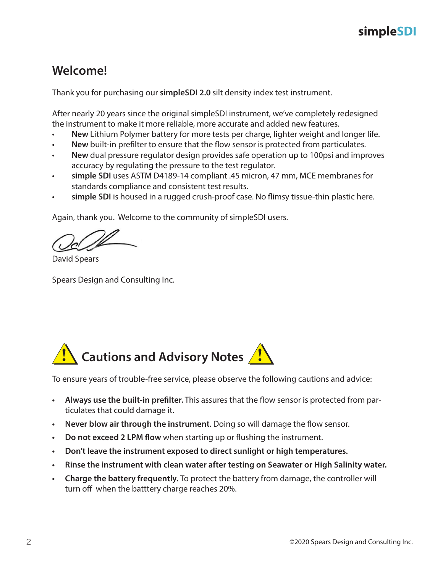### **Welcome!**

Thank you for purchasing our **simpleSDI 2.0** silt density index test instrument.

After nearly 20 years since the original simpleSDI instrument, we've completely redesigned the instrument to make it more reliable, more accurate and added new features.

- **New** Lithium Polymer battery for more tests per charge, lighter weight and longer life.
- **New** built-in prefilter to ensure that the flow sensor is protected from particulates.
- **New** dual pressure regulator design provides safe operation up to 100psi and improves accuracy by regulating the pressure to the test regulator.
- **simple SDI** uses ASTM D4189-14 compliant .45 micron, 47 mm, MCE membranes for standards compliance and consistent test results.
- **simple SDI** is housed in a rugged crush-proof case. No flimsy tissue-thin plastic here.

Again, thank you. Welcome to the community of simpleSDI users.

David Spears

Spears Design and Consulting Inc.



To ensure years of trouble-free service, please observe the following cautions and advice:

- **• Always use the built-in prefilter.** This assures that the flow sensor is protected from particulates that could damage it.
- **• Never blow air through the instrument**. Doing so will damage the flow sensor.
- **• Do not exceed 2 LPM flow** when starting up or flushing the instrument.
- **• Don't leave the instrument exposed to direct sunlight or high temperatures.**
- **• Rinse the instrument with clean water after testing on Seawater or High Salinity water.**
- **• Charge the battery frequently.** To protect the battery from damage, the controller will turn off when the batttery charge reaches 20%.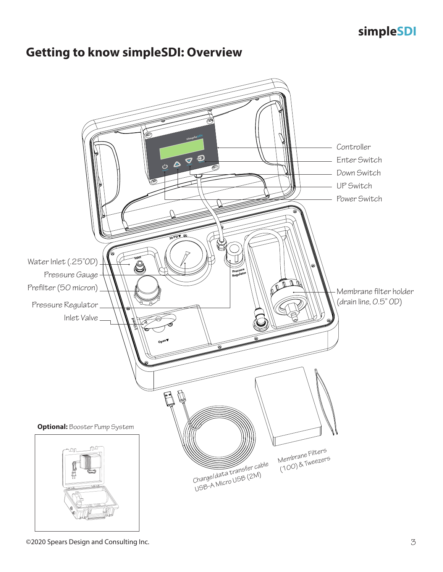### **Getting to know simpleSDI: Overview**

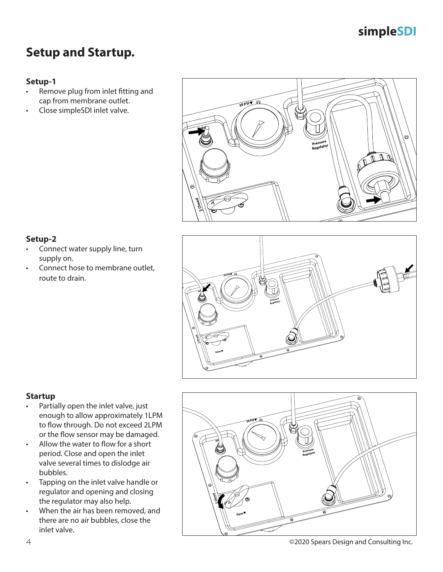# **Setup and Startup.**

#### **Setup-1**

- Remove plug from inlet fitting and cap from membrane outlet.
- Close simpleSDI inlet valve.



#### **Setup-2**

- Connect water supply line, turn supply on.
- Connect hose to membrane outlet, route to drain.



#### **Startup**

- Partially open the inlet valve, just enough to allow approximately 1LPM to flow through. Do not exceed 2LPM or the flow sensor may be damaged.
- Allow the water to flow for a short period. Close and open the inlet valve several times to dislodge air bubbles.
- Tapping on the inlet valve handle or regulator and opening and closing the regulator may also help.
- When the air has been removed, and there are no air bubbles, close the inlet valve.

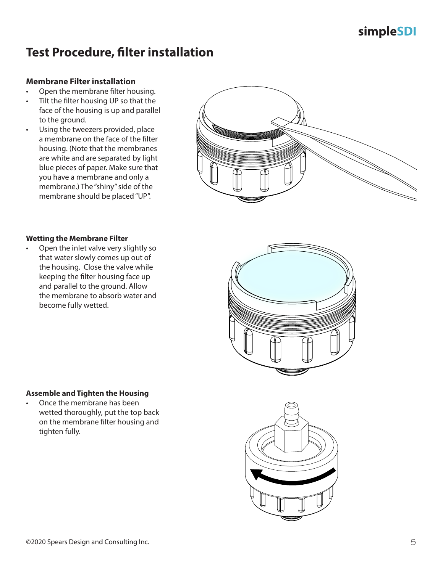### **Test Procedure, filter installation**

#### **Membrane Filter installation**

- Open the membrane filter housing.
- Tilt the filter housing UP so that the face of the housing is up and parallel to the ground.
- Using the tweezers provided, place a membrane on the face of the filter housing. (Note that the membranes are white and are separated by light blue pieces of paper. Make sure that you have a membrane and only a membrane.) The "shiny" side of the membrane should be placed "UP".



#### **Wetting the Membrane Filter**

• Open the inlet valve very slightly so that water slowly comes up out of the housing. Close the valve while keeping the filter housing face up and parallel to the ground. Allow the membrane to absorb water and become fully wetted.



#### **Assemble and Tighten the Housing**

• Once the membrane has been wetted thoroughly, put the top back on the membrane filter housing and tighten fully.

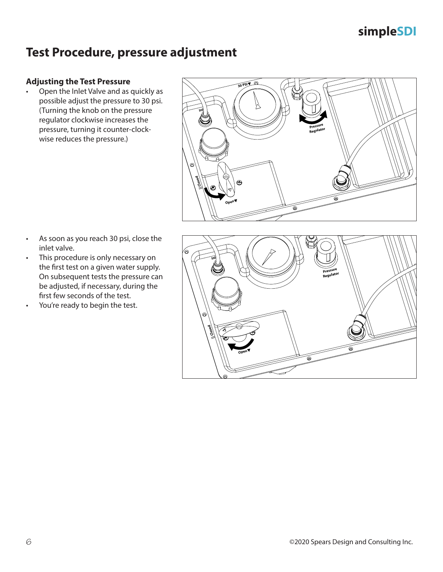### **Test Procedure, pressure adjustment**

#### **Adjusting the Test Pressure**

• Open the Inlet Valve and as quickly as possible adjust the pressure to 30 psi. (Turning the knob on the pressure regulator clockwise increases the pressure, turning it counter-clockwise reduces the pressure.)



- As soon as you reach 30 psi, close the inlet valve.
- This procedure is only necessary on the first test on a given water supply. On subsequent tests the pressure can be adjusted, if necessary, during the first few seconds of the test.
- You're ready to begin the test.

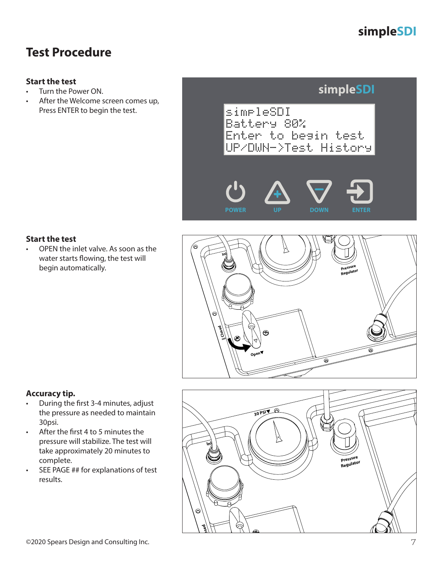### **Test Procedure**

#### **Start the test**

- Turn the Power ON.
- After the Welcome screen comes up, Press ENTER to begin the test.

### **simpleSDI**

simpleSDI Battery 80% Enter to begin test UP/DWN->Test History





#### **Start the test**

• OPEN the inlet valve. As soon as the water starts flowing, the test will begin automatically.



#### **Accuracy tip.**

- During the first 3-4 minutes, adjust the pressure as needed to maintain 30psi.
- After the first 4 to 5 minutes the pressure will stabilize. The test will take approximately 20 minutes to complete.
- SEE PAGE ## for explanations of test results.

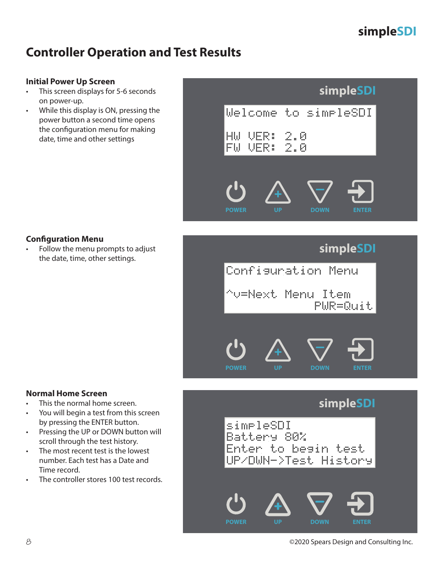# **Controller Operation and Test Results**

#### **Initial Power Up Screen**

- This screen displays for 5-6 seconds on power-up.
- While this display is ON, pressing the power button a second time opens the configuration menu for making date, time and other settings

### **simpleSDI**



#### **Configuration Menu**

• Follow the menu prompts to adjust the date, time, other settings.



### **simpleSDI**





8 ©2020 Spears Design and Consulting Inc.

#### **Normal Home Screen**

- This the normal home screen.
- You will begin a test from this screen by pressing the ENTER button.
- Pressing the UP or DOWN button will scroll through the test history.
- The most recent test is the lowest number. Each test has a Date and Time record.
- The controller stores 100 test records.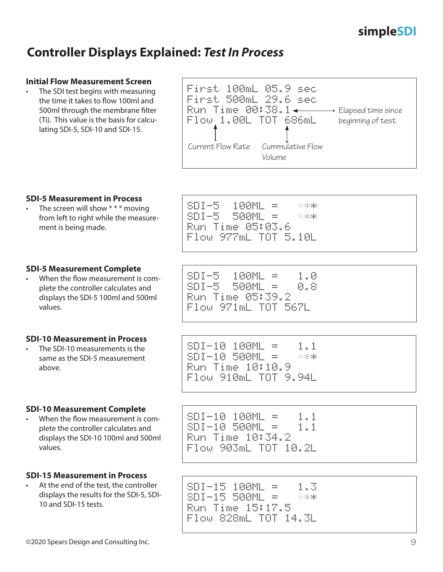### **Controller Displays Explained:** *Test In Process*

#### **Initial Flow Measurement Screen**

The SDI test begins with measuring the time it takes to flow 100ml and 500ml through the membrane filter (Ti). This value is the basis for calculating SDI-5, SDI-10 and SDI-15.

| First 100mL 05.9<br><u>First 500mL 29.6 sec</u><br>Flow 1.00L TOT 686mL | - spr  | Elapsed time since<br>beginning of test |
|-------------------------------------------------------------------------|--------|-----------------------------------------|
| Current Flow Rate Cummulative Flow                                      | Volume |                                         |

#### **SDI-5 Measurement in Process**

The screen will show  $**$  \* moving from left to right while the measurement is being made.

#### **SDI-5 Measurement Complete**

• When the flow measurement is complete the controller calculates and displays the SDI-5 100ml and 500ml values.

#### **SDI-10 Measurement in Process**

• The SDI-10 measurements is the same as the SDI-5 measurement above.

#### **SDI-10 Measurement Complete**

When the flow measurement is complete the controller calculates and displays the SDI-10 100ml and 500ml values.

#### **SDI-15 Measurement in Process**

At the end of the test, the controller displays the results for the SDI-5, SDI-10 and SDI-15 tests.

SDI-5 500ML = \*\*\* Run Time 05:03.6 Flow 977mL TOT 5.10L

SDI-5 100ML = \*\*\*

| $SDI-5 - 100ML =$   | 1.0 |
|---------------------|-----|
| SDI-5 500ML = 1     | 0.8 |
| Run Time 05:39.2    |     |
| Flow 971mL TOT 567L |     |

| $SDI-10 100ML =$     | 1.1   |
|----------------------|-------|
| $SDI-10$ 500ML =     | - 자자라 |
| Run Time 10:10.9     |       |
| Flow 910mL TOT 9.94L |       |

SDI-10 100ML = 1.1 SDI-10 500ML = 1.1 Run Time 10:34.2 Flow 903mL TOT 10.2L

SDI-15 100ML = 1.3 SDI-15 500ML = \*\*\* Run Time 15:17.5 Flow 828mL TOT 14.3L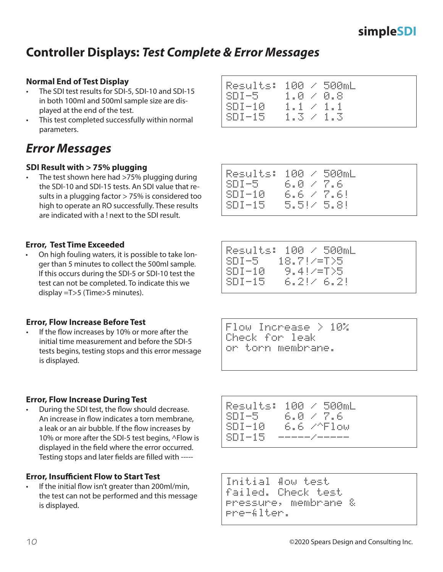Flow Increase > 10% Check for leak or torn membrane.

**Controller Displays:** *Test Complete & Error Messages*

#### **Normal End of Test Display**

- The SDI test results for SDI-5, SDI-10 and SDI-15 in both 100ml and 500ml sample size are displayed at the end of the test.
- This test completed successfully within normal parameters.

### *Error Messages*

#### **SDI Result with > 75% plugging**

The test shown here had >75% plugging during the SDI-10 and SDI-15 tests. An SDI value that results in a plugging factor > 75% is considered too high to operate an RO successfully. These results are indicated with a ! next to the SDI result.

#### **Error, Test Time Exceeded**

• On high fouling waters, it is possible to take longer than 5 minutes to collect the 500ml sample. If this occurs during the SDI-5 or SDI-10 test the test can not be completed. To indicate this we display =T>5 (Time>5 minutes).

#### **Error, Flow Increase Before Test**

If the flow increases by 10% or more after the initial time measurement and before the SDI-5 tests begins, testing stops and this error message is displayed.

#### **Error, Flow Increase During Test**

• During the SDI test, the flow should decrease. An increase in flow indicates a torn membrane, a leak or an air bubble. If the flow increases by 10% or more after the SDI-5 test begins, ^Flow is displayed in the field where the error occurred. Testing stops and later fields are filled with -----

#### **Error, Insufficient Flow to Start Test**

If the initial flow isn't greater than 200ml/min, the test can not be performed and this message is displayed.

| Results: 100 / 500mL      |                  |  |
|---------------------------|------------------|--|
| $SDI-5 = 1.0 \times 0.8$  |                  |  |
| $SUI-10$                  | $1.1 \times 1.1$ |  |
| $SDI-15 = 1.3 \times 1.3$ |                  |  |
|                           |                  |  |

| SDI-5.               | $6.0 \times 7.6$           |  |
|----------------------|----------------------------|--|
| $SDI-10$<br>$SDI-15$ | 6.6 Z 7.6!<br>- 5.514 5.81 |  |
|                      |                            |  |

Results: 100 / 500mL

Results: 100 / 500mL SDI-5 18.7!/=T>5 SDI-10 9.4!/=T>5 SDI-15 6.2!/ 6.2!

| Results:<br>SDI-5 | 6.0 / 7.6 | $100 \times 500$ mL |
|-------------------|-----------|---------------------|
| $SDI-10$          |           | 6.6 /^Flow          |
| $SDI-15$          |           |                     |

```
Initial flow test
failed. Check test
pressure, membrane &
pre-filter.
```
# **simpleSDI**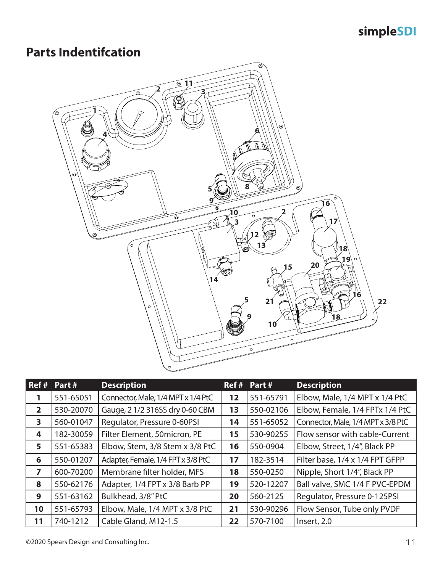# **Parts Indentifcation**



| Ref#           | Part#     | <b>Description</b>                 | Ref # | Part#     | <b>Description</b>                 |
|----------------|-----------|------------------------------------|-------|-----------|------------------------------------|
|                | 551-65051 | Connector, Male, 1/4 MPT x 1/4 PtC | 12    | 551-65791 | Elbow, Male, 1/4 MPT x 1/4 PtC     |
| $\overline{2}$ | 530-20070 | Gauge, 2 1/2 316SS dry 0-60 CBM    | 13    | 550-02106 | Elbow, Female, 1/4 FPTx 1/4 PtC    |
| 3              | 560-01047 | Regulator, Pressure 0-60PSI        | 14    | 551-65052 | Connector, Male, 1/4 MPT x 3/8 PtC |
| 4              | 182-30059 | Filter Element, 50micron, PE       | 15    | 530-90255 | Flow sensor with cable-Current     |
| 5              | 551-65383 | Elbow, Stem, 3/8 Stem x 3/8 PtC    | 16    | 550-0904  | Elbow, Street, 1/4", Black PP      |
| 6              | 550-01207 | Adapter, Female, 1/4 FPT x 3/8 PtC | 17    | 182-3514  | Filter base, 1/4 x 1/4 FPT GFPP    |
| 7              | 600-70200 | Membrane filter holder, MFS        | 18    | 550-0250  | Nipple, Short 1/4", Black PP       |
| 8              | 550-62176 | Adapter, 1/4 FPT x 3/8 Barb PP     | 19    | 520-12207 | Ball valve, SMC 1/4 F PVC-EPDM     |
| 9              | 551-63162 | Bulkhead, 3/8" PtC                 | 20    | 560-2125  | Regulator, Pressure 0-125PSI       |
| 10             | 551-65793 | Elbow, Male, 1/4 MPT x 3/8 PtC     | 21    | 530-90296 | Flow Sensor, Tube only PVDF        |
| 11             | 740-1212  | Cable Gland, M12-1.5               | 22    | 570-7100  | Insert, 2.0                        |

©2020 Spears Design and Consulting Inc. 11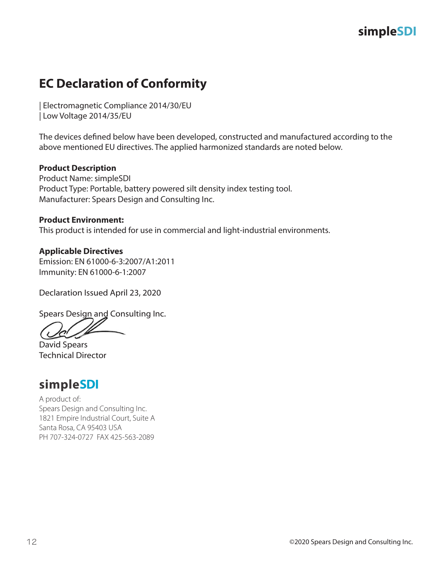# **EC Declaration of Conformity**

| Electromagnetic Compliance 2014/30/EU | Low Voltage 2014/35/EU

The devices defined below have been developed, constructed and manufactured according to the above mentioned EU directives. The applied harmonized standards are noted below.

#### **Product Description**

Product Name: simpleSDI Product Type: Portable, battery powered silt density index testing tool. Manufacturer: Spears Design and Consulting Inc.

#### **Product Environment:**

This product is intended for use in commercial and light-industrial environments.

#### **Applicable Directives** Emission: EN 61000-6-3:2007/A1:2011 Immunity: EN 61000-6-1:2007

Declaration Issued April 23, 2020

Spears Design and Consulting Inc.

David Spears Technical Director

### **simpleSDI**

A product of: Spears Design and Consulting Inc. 1821 Empire Industrial Court, Suite A Santa Rosa, CA 95403 USA PH 707-324-0727 FAX 425-563-2089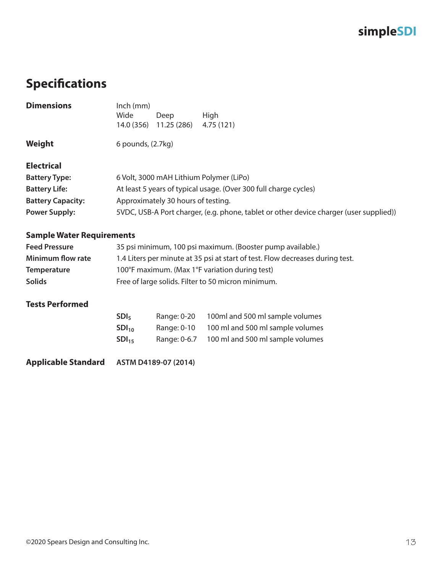# **Specifications**

| <b>Dimensions</b>        | $lnch$ (mm)<br>Wide<br>High<br>Deep                                                    |  |
|--------------------------|----------------------------------------------------------------------------------------|--|
|                          | 14.0 (356)<br>11.25 (286)<br>4.75(121)                                                 |  |
|                          |                                                                                        |  |
| Weight                   | 6 pounds, (2.7kg)                                                                      |  |
|                          |                                                                                        |  |
| <b>Electrical</b>        |                                                                                        |  |
| <b>Battery Type:</b>     | 6 Volt, 3000 mAH Lithium Polymer (LiPo)                                                |  |
| <b>Battery Life:</b>     | At least 5 years of typical usage. (Over 300 full charge cycles)                       |  |
| <b>Battery Capacity:</b> | Approximately 30 hours of testing.                                                     |  |
| <b>Power Supply:</b>     | 5VDC, USB-A Port charger, (e.g. phone, tablet or other device charger (user supplied)) |  |

#### **Sample Water Requirements**

| <b>Feed Pressure</b>     | 35 psi minimum, 100 psi maximum. (Booster pump available.)                    |
|--------------------------|-------------------------------------------------------------------------------|
| <b>Minimum flow rate</b> | 1.4 Liters per minute at 35 psi at start of test. Flow decreases during test. |
| <b>Temperature</b>       | 100°F maximum. (Max 1°F variation during test)                                |
| <b>Solids</b>            | Free of large solids. Filter to 50 micron minimum.                            |

### **Tests Performed**

| SDI <sub>5</sub>  | Range: 0-20  | 100ml and 500 ml sample volumes  |
|-------------------|--------------|----------------------------------|
| SDI <sub>10</sub> | Range: 0-10  | 100 ml and 500 ml sample volumes |
| SDI <sub>15</sub> | Range: 0-6.7 | 100 ml and 500 ml sample volumes |

**Applicable Standard ASTM D4189-07 (2014)**